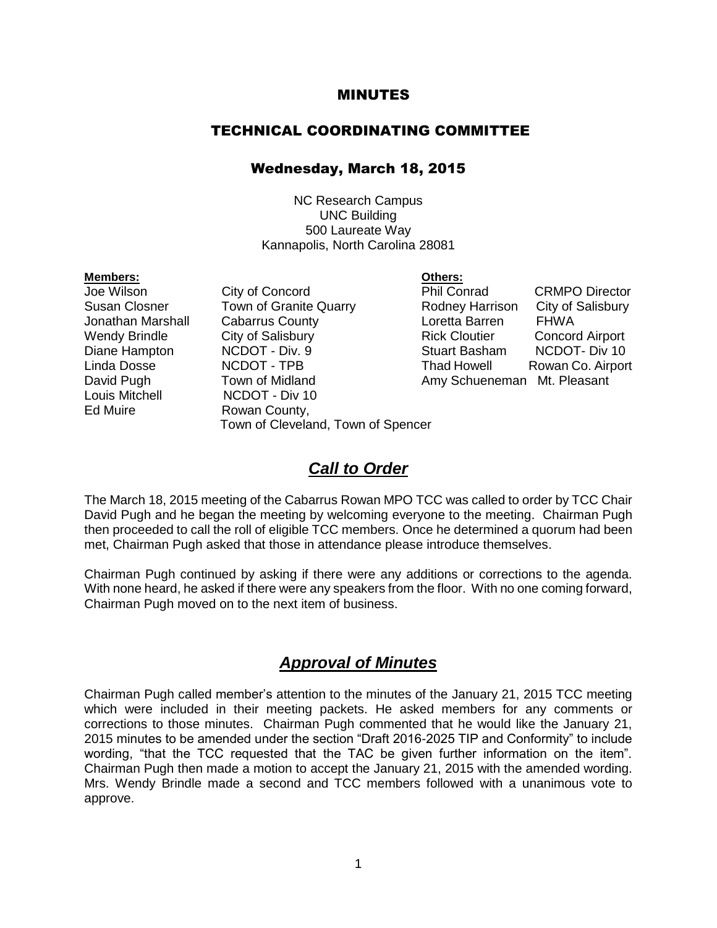#### MINUTES

#### TECHNICAL COORDINATING COMMITTEE

#### Wednesday, March 18, 2015

NC Research Campus UNC Building 500 Laureate Way Kannapolis, North Carolina 28081

#### **Members: Others:**

- Louis Mitchell **NCDOT** Div 10 Ed Muire **Rowan County**,
- Jonathan Marshall Cabarrus County Loretta Barren FHWA David Pugh Town of Midland Amy Schueneman Mt. Pleasant Town of Cleveland, Town of Spencer

Joe Wilson City of Concord Phil Conrad CRMPO Director Susan Closner Town of Granite Quarry Rodney Harrison City of Salisbury Wendy Brindle City of Salisbury **Rick Cloutier** Concord Airport Diane Hampton MCDOT - Div. 9 Stuart Basham NCDOT- Div 10 Linda Dosse NCDOT - TPB Thad Howell Rowan Co. Airport

### *Call to Order*

The March 18, 2015 meeting of the Cabarrus Rowan MPO TCC was called to order by TCC Chair David Pugh and he began the meeting by welcoming everyone to the meeting. Chairman Pugh then proceeded to call the roll of eligible TCC members. Once he determined a quorum had been met, Chairman Pugh asked that those in attendance please introduce themselves.

Chairman Pugh continued by asking if there were any additions or corrections to the agenda. With none heard, he asked if there were any speakers from the floor. With no one coming forward, Chairman Pugh moved on to the next item of business.

### *Approval of Minutes*

Chairman Pugh called member's attention to the minutes of the January 21, 2015 TCC meeting which were included in their meeting packets. He asked members for any comments or corrections to those minutes. Chairman Pugh commented that he would like the January 21, 2015 minutes to be amended under the section "Draft 2016-2025 TIP and Conformity" to include wording, "that the TCC requested that the TAC be given further information on the item". Chairman Pugh then made a motion to accept the January 21, 2015 with the amended wording. Mrs. Wendy Brindle made a second and TCC members followed with a unanimous vote to approve.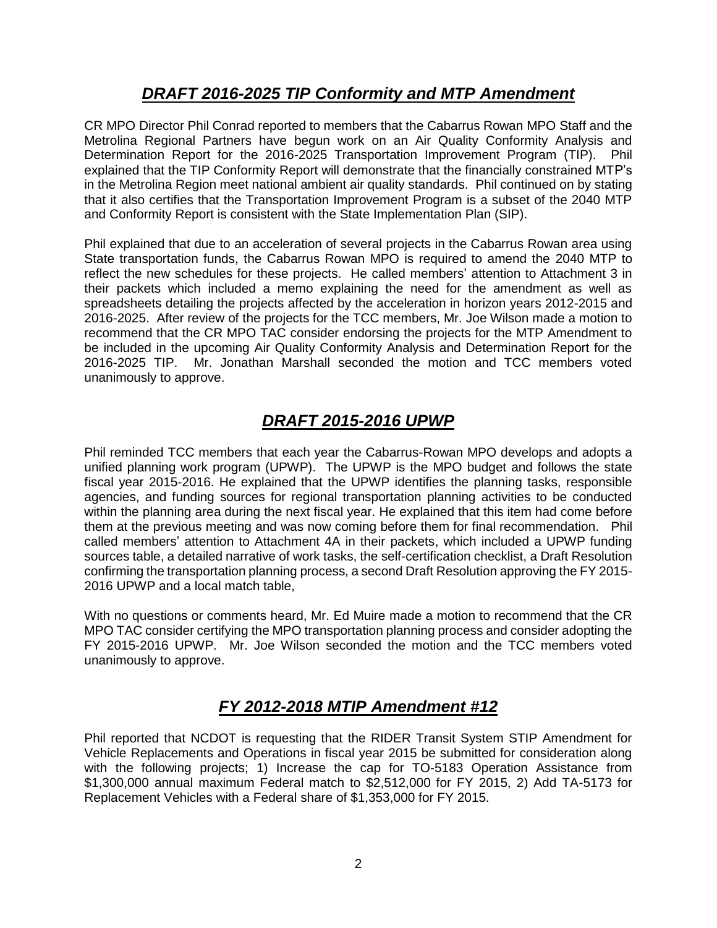## *DRAFT 2016-2025 TIP Conformity and MTP Amendment*

CR MPO Director Phil Conrad reported to members that the Cabarrus Rowan MPO Staff and the Metrolina Regional Partners have begun work on an Air Quality Conformity Analysis and Determination Report for the 2016-2025 Transportation Improvement Program (TIP). Phil explained that the TIP Conformity Report will demonstrate that the financially constrained MTP's in the Metrolina Region meet national ambient air quality standards. Phil continued on by stating that it also certifies that the Transportation Improvement Program is a subset of the 2040 MTP and Conformity Report is consistent with the State Implementation Plan (SIP).

Phil explained that due to an acceleration of several projects in the Cabarrus Rowan area using State transportation funds, the Cabarrus Rowan MPO is required to amend the 2040 MTP to reflect the new schedules for these projects. He called members' attention to Attachment 3 in their packets which included a memo explaining the need for the amendment as well as spreadsheets detailing the projects affected by the acceleration in horizon years 2012-2015 and 2016-2025. After review of the projects for the TCC members, Mr. Joe Wilson made a motion to recommend that the CR MPO TAC consider endorsing the projects for the MTP Amendment to be included in the upcoming Air Quality Conformity Analysis and Determination Report for the 2016-2025 TIP. Mr. Jonathan Marshall seconded the motion and TCC members voted unanimously to approve.

# *DRAFT 2015-2016 UPWP*

Phil reminded TCC members that each year the Cabarrus-Rowan MPO develops and adopts a unified planning work program (UPWP). The UPWP is the MPO budget and follows the state fiscal year 2015-2016. He explained that the UPWP identifies the planning tasks, responsible agencies, and funding sources for regional transportation planning activities to be conducted within the planning area during the next fiscal year. He explained that this item had come before them at the previous meeting and was now coming before them for final recommendation. Phil called members' attention to Attachment 4A in their packets, which included a UPWP funding sources table, a detailed narrative of work tasks, the self-certification checklist, a Draft Resolution confirming the transportation planning process, a second Draft Resolution approving the FY 2015- 2016 UPWP and a local match table,

With no questions or comments heard, Mr. Ed Muire made a motion to recommend that the CR MPO TAC consider certifying the MPO transportation planning process and consider adopting the FY 2015-2016 UPWP. Mr. Joe Wilson seconded the motion and the TCC members voted unanimously to approve.

## *FY 2012-2018 MTIP Amendment #12*

Phil reported that NCDOT is requesting that the RIDER Transit System STIP Amendment for Vehicle Replacements and Operations in fiscal year 2015 be submitted for consideration along with the following projects; 1) Increase the cap for TO-5183 Operation Assistance from \$1,300,000 annual maximum Federal match to \$2,512,000 for FY 2015, 2) Add TA-5173 for Replacement Vehicles with a Federal share of \$1,353,000 for FY 2015.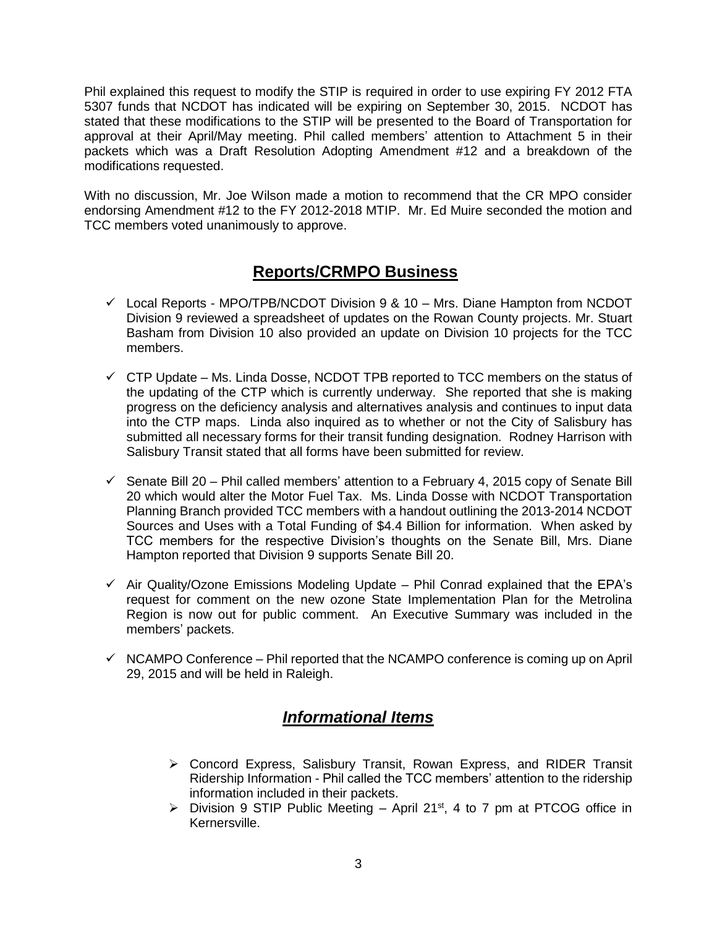Phil explained this request to modify the STIP is required in order to use expiring FY 2012 FTA 5307 funds that NCDOT has indicated will be expiring on September 30, 2015. NCDOT has stated that these modifications to the STIP will be presented to the Board of Transportation for approval at their April/May meeting. Phil called members' attention to Attachment 5 in their packets which was a Draft Resolution Adopting Amendment #12 and a breakdown of the modifications requested.

With no discussion, Mr. Joe Wilson made a motion to recommend that the CR MPO consider endorsing Amendment #12 to the FY 2012-2018 MTIP. Mr. Ed Muire seconded the motion and TCC members voted unanimously to approve.

## **Reports/CRMPO Business**

- $\checkmark$  Local Reports MPO/TPB/NCDOT Division 9 & 10 Mrs. Diane Hampton from NCDOT Division 9 reviewed a spreadsheet of updates on the Rowan County projects. Mr. Stuart Basham from Division 10 also provided an update on Division 10 projects for the TCC members.
- $\checkmark$  CTP Update Ms. Linda Dosse, NCDOT TPB reported to TCC members on the status of the updating of the CTP which is currently underway. She reported that she is making progress on the deficiency analysis and alternatives analysis and continues to input data into the CTP maps. Linda also inquired as to whether or not the City of Salisbury has submitted all necessary forms for their transit funding designation. Rodney Harrison with Salisbury Transit stated that all forms have been submitted for review.
- $\checkmark$  Senate Bill 20 Phil called members' attention to a February 4, 2015 copy of Senate Bill 20 which would alter the Motor Fuel Tax. Ms. Linda Dosse with NCDOT Transportation Planning Branch provided TCC members with a handout outlining the 2013-2014 NCDOT Sources and Uses with a Total Funding of \$4.4 Billion for information. When asked by TCC members for the respective Division's thoughts on the Senate Bill, Mrs. Diane Hampton reported that Division 9 supports Senate Bill 20.
- $\checkmark$  Air Quality/Ozone Emissions Modeling Update Phil Conrad explained that the EPA's request for comment on the new ozone State Implementation Plan for the Metrolina Region is now out for public comment. An Executive Summary was included in the members' packets.
- $\checkmark$  NCAMPO Conference Phil reported that the NCAMPO conference is coming up on April 29, 2015 and will be held in Raleigh.

## *Informational Items*

- Concord Express, Salisbury Transit, Rowan Express, and RIDER Transit Ridership Information - Phil called the TCC members' attention to the ridership information included in their packets.
- $\triangleright$  Division 9 STIP Public Meeting April 21<sup>st</sup>, 4 to 7 pm at PTCOG office in Kernersville.